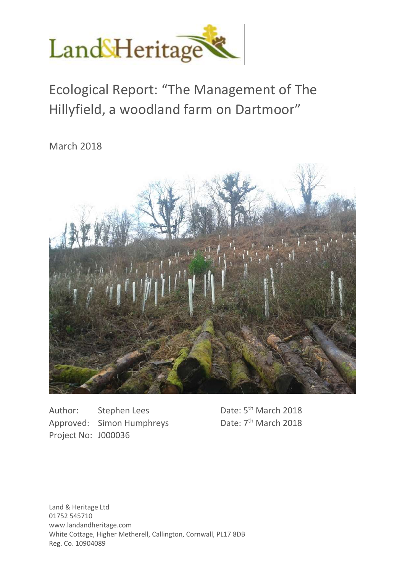

Ecological Report: "The Management of The Hillyfield, a woodland farm on Dartmoor"

March 2018



Author: Stephen Lees Approved: Simon Humphreys Project No: J000036

Date: 5<sup>th</sup> March 2018 Date:  $7<sup>th</sup>$  March 2018

Land & Heritage Ltd 01752 545710 www.landandheritage.com White Cottage, Higher Metherell, Callington, Cornwall, PL17 8DB Reg. Co. 10904089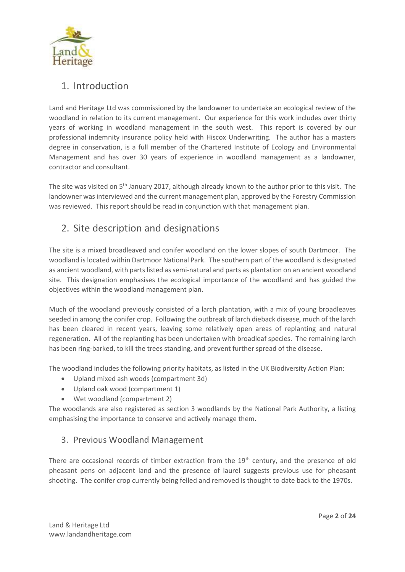

# 1. Introduction

Land and Heritage Ltd was commissioned by the landowner to undertake an ecological review of the woodland in relation to its current management. Our experience for this work includes over thirty years of working in woodland management in the south west. This report is covered by our professional indemnity insurance policy held with Hiscox Underwriting. The author has a masters degree in conservation, is a full member of the Chartered Institute of Ecology and Environmental Management and has over 30 years of experience in woodland management as a landowner, contractor and consultant.

The site was visited on  $5<sup>th</sup>$  January 2017, although already known to the author prior to this visit. The landowner was interviewed and the current management plan, approved by the Forestry Commission was reviewed. This report should be read in conjunction with that management plan.

# 2. Site description and designations

The site is a mixed broadleaved and conifer woodland on the lower slopes of south Dartmoor. The woodland is located within Dartmoor National Park. The southern part of the woodland is designated as ancient woodland, with parts listed as semi-natural and parts as plantation on an ancient woodland site. This designation emphasises the ecological importance of the woodland and has guided the objectives within the woodland management plan.

Much of the woodland previously consisted of a larch plantation, with a mix of young broadleaves seeded in among the conifer crop. Following the outbreak of larch dieback disease, much of the larch has been cleared in recent years, leaving some relatively open areas of replanting and natural regeneration. All of the replanting has been undertaken with broadleaf species. The remaining larch has been ring-barked, to kill the trees standing, and prevent further spread of the disease.

The woodland includes the following priority habitats, as listed in the UK Biodiversity Action Plan:

- Upland mixed ash woods (compartment 3d)
- Upland oak wood (compartment 1)
- Wet woodland (compartment 2)

The woodlands are also registered as section 3 woodlands by the National Park Authority, a listing emphasising the importance to conserve and actively manage them.

### 3. Previous Woodland Management

There are occasional records of timber extraction from the 19<sup>th</sup> century, and the presence of old pheasant pens on adjacent land and the presence of laurel suggests previous use for pheasant shooting. The conifer crop currently being felled and removed is thought to date back to the 1970s.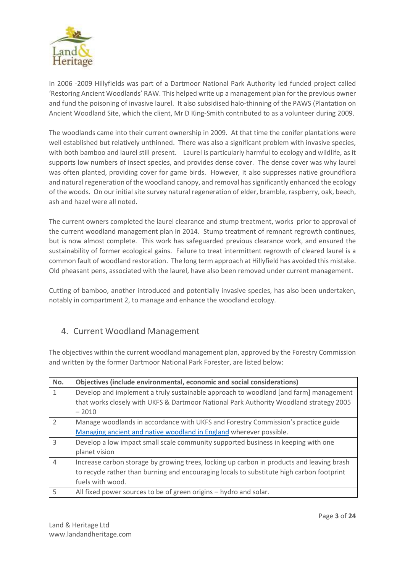

In 2006 -2009 Hillyfields was part of a Dartmoor National Park Authority led funded project called 'Restoring Ancient Woodlands' RAW. This helped write up a management plan for the previous owner and fund the poisoning of invasive laurel. It also subsidised halo-thinning of the PAWS (Plantation on Ancient Woodland Site, which the client, Mr D King-Smith contributed to as a volunteer during 2009.

The woodlands came into their current ownership in 2009. At that time the conifer plantations were well established but relatively unthinned. There was also a significant problem with invasive species, with both bamboo and laurel still present. Laurel is particularly harmful to ecology and wildlife, as it supports low numbers of insect species, and provides dense cover. The dense cover was why laurel was often planted, providing cover for game birds. However, it also suppresses native groundflora and natural regeneration of the woodland canopy, and removal has significantly enhanced the ecology of the woods. On our initial site survey natural regeneration of elder, bramble, raspberry, oak, beech, ash and hazel were all noted.

The current owners completed the laurel clearance and stump treatment, works prior to approval of the current woodland management plan in 2014. Stump treatment of remnant regrowth continues, but is now almost complete. This work has safeguarded previous clearance work, and ensured the sustainability of former ecological gains. Failure to treat intermittent regrowth of cleared laurel is a common fault of woodland restoration. The long term approach at Hillyfield has avoided this mistake. Old pheasant pens, associated with the laurel, have also been removed under current management.

Cutting of bamboo, another introduced and potentially invasive species, has also been undertaken, notably in compartment 2, to manage and enhance the woodland ecology.

## 4. Current Woodland Management

The objectives within the current woodland management plan, approved by the Forestry Commission and written by the former Dartmoor National Park Forester, are listed below:

| No.            | Objectives (include environmental, economic and social considerations)                    |
|----------------|-------------------------------------------------------------------------------------------|
| 1              | Develop and implement a truly sustainable approach to woodland [and farm] management      |
|                | that works closely with UKFS & Dartmoor National Park Authority Woodland strategy 2005    |
|                | $-2010$                                                                                   |
| $\mathcal{P}$  | Manage woodlands in accordance with UKFS and Forestry Commission's practice guide         |
|                | Managing ancient and native woodland in England wherever possible.                        |
| $\mathbf{3}$   | Develop a low impact small scale community supported business in keeping with one         |
|                | planet vision                                                                             |
| $\overline{4}$ | Increase carbon storage by growing trees, locking up carbon in products and leaving brash |
|                | to recycle rather than burning and encouraging locals to substitute high carbon footprint |
|                | fuels with wood.                                                                          |
| 5              | All fixed power sources to be of green origins - hydro and solar.                         |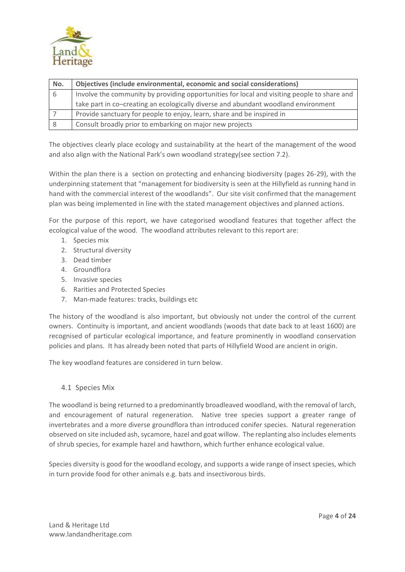

| No. | Objectives (include environmental, economic and social considerations)                      |
|-----|---------------------------------------------------------------------------------------------|
| 6   | Involve the community by providing opportunities for local and visiting people to share and |
|     | take part in co-creating an ecologically diverse and abundant woodland environment          |
|     | Provide sanctuary for people to enjoy, learn, share and be inspired in                      |
| -8  | Consult broadly prior to embarking on major new projects                                    |

The objectives clearly place ecology and sustainability at the heart of the management of the wood and also align with the National Park's own woodland strategy(see section 7.2).

Within the plan there is a section on protecting and enhancing biodiversity (pages 26-29), with the underpinning statement that "management for biodiversity is seen at the Hillyfield as running hand in hand with the commercial interest of the woodlands". Our site visit confirmed that the management plan was being implemented in line with the stated management objectives and planned actions.

For the purpose of this report, we have categorised woodland features that together affect the ecological value of the wood. The woodland attributes relevant to this report are:

- 1. Species mix
- 2. Structural diversity
- 3. Dead timber
- 4. Groundflora
- 5. Invasive species
- 6. Rarities and Protected Species
- 7. Man-made features: tracks, buildings etc

The history of the woodland is also important, but obviously not under the control of the current owners. Continuity is important, and ancient woodlands (woods that date back to at least 1600) are recognised of particular ecological importance, and feature prominently in woodland conservation policies and plans. It has already been noted that parts of Hillyfield Wood are ancient in origin.

The key woodland features are considered in turn below.

### 4.1 Species Mix

The woodland is being returned to a predominantly broadleaved woodland, with the removal of larch, and encouragement of natural regeneration. Native tree species support a greater range of invertebrates and a more diverse groundflora than introduced conifer species. Natural regeneration observed on site included ash, sycamore, hazel and goat willow. The replanting also includes elements of shrub species, for example hazel and hawthorn, which further enhance ecological value.

Species diversity is good for the woodland ecology, and supports a wide range of insect species, which in turn provide food for other animals e.g. bats and insectivorous birds.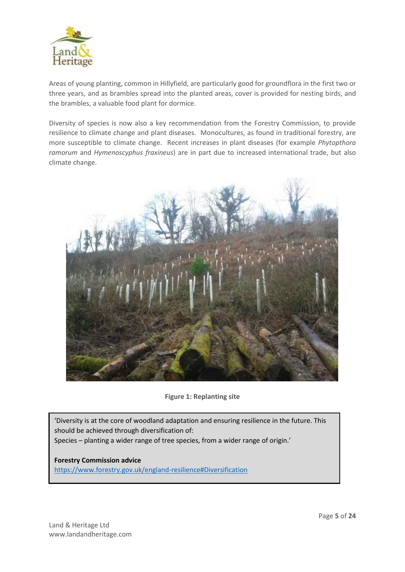

Areas of young planting, common in Hillyfield, are particularly good for groundflora in the first two or three years, and as brambles spread into the planted areas, cover is provided for nesting birds, and the brambles, a valuable food plant for dormice.

Diversity of species is now also a key recommendation from the Forestry Commission, to provide resilience to climate change and plant diseases. Monocultures, as found in traditional forestry, are more susceptible to climate change. Recent increases in plant diseases (for example *Phytopthora ramorum* and *Hymenoscyphus fraxineus*) are in part due to increased international trade, but also climate change.



**Figure 1: Replanting site**

'Diversity is at the core of woodland adaptation and ensuring resilience in the future. This should be achieved through diversification of: Species – planting a wider range of tree species, from a wider range of origin.'

**Forestry Commission advice** https://www.forestry.gov.uk/england-resilience#Diversification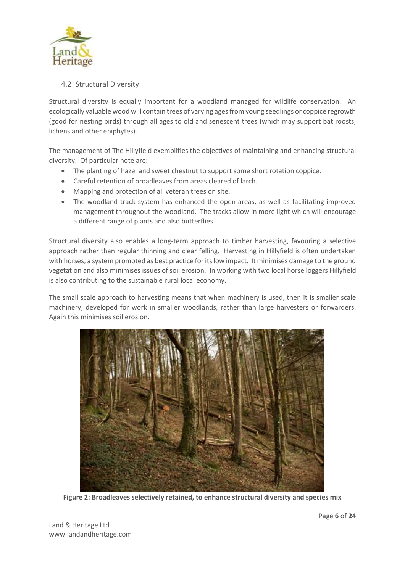

### 4.2 Structural Diversity

Structural diversity is equally important for a woodland managed for wildlife conservation. An ecologically valuable wood will contain trees of varying ages from young seedlings or coppice regrowth (good for nesting birds) through all ages to old and senescent trees (which may support bat roosts, lichens and other epiphytes).

The management of The Hillyfield exemplifies the objectives of maintaining and enhancing structural diversity. Of particular note are:

- The planting of hazel and sweet chestnut to support some short rotation coppice.
- Careful retention of broadleaves from areas cleared of larch.
- Mapping and protection of all veteran trees on site.
- The woodland track system has enhanced the open areas, as well as facilitating improved management throughout the woodland. The tracks allow in more light which will encourage a different range of plants and also butterflies.

Structural diversity also enables a long-term approach to timber harvesting, favouring a selective approach rather than regular thinning and clear felling. Harvesting in Hillyfield is often undertaken with horses, a system promoted as best practice for its low impact. It minimises damage to the ground vegetation and also minimises issues of soil erosion. In working with two local horse loggers Hillyfield is also contributing to the sustainable rural local economy.

The small scale approach to harvesting means that when machinery is used, then it is smaller scale machinery, developed for work in smaller woodlands, rather than large harvesters or forwarders. Again this minimises soil erosion.



**Figure 2: Broadleaves selectively retained, to enhance structural diversity and species mix**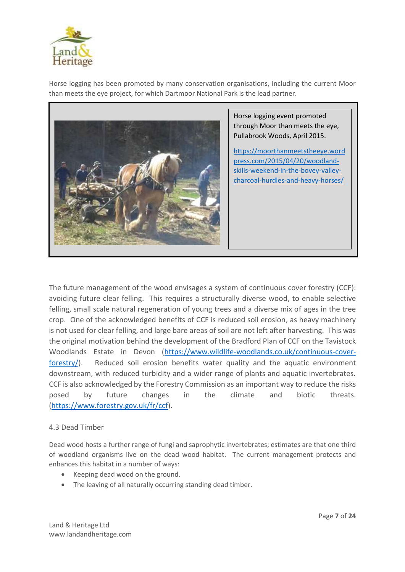

Horse logging has been promoted by many conservation organisations, including the current Moor than meets the eye project, for which Dartmoor National Park is the lead partner.



Horse logging event promoted through Moor than meets the eye, Pullabrook Woods, April 2015.

https://moorthanmeetstheeye.word press.com/2015/04/20/woodlandskills-weekend-in-the-bovey-valleycharcoal-hurdles-and-heavy-horses/

The future management of the wood envisages a system of continuous cover forestry (CCF): avoiding future clear felling. This requires a structurally diverse wood, to enable selective felling, small scale natural regeneration of young trees and a diverse mix of ages in the tree crop. One of the acknowledged benefits of CCF is reduced soil erosion, as heavy machinery is not used for clear felling, and large bare areas of soil are not left after harvesting. This was the original motivation behind the development of the Bradford Plan of CCF on the Tavistock Woodlands Estate in Devon (https://www.wildlife-woodlands.co.uk/continuous-coverforestry/). Reduced soil erosion benefits water quality and the aquatic environment downstream, with reduced turbidity and a wider range of plants and aquatic invertebrates. CCF is also acknowledged by the Forestry Commission as an important way to reduce the risks posed by future changes in the climate and biotic threats. (https://www.forestry.gov.uk/fr/ccf).

### 4.3 Dead Timber

Dead wood hosts a further range of fungi and saprophytic invertebrates; estimates are that one third of woodland organisms live on the dead wood habitat. The current management protects and enhances this habitat in a number of ways:

- Keeping dead wood on the ground.
- The leaving of all naturally occurring standing dead timber.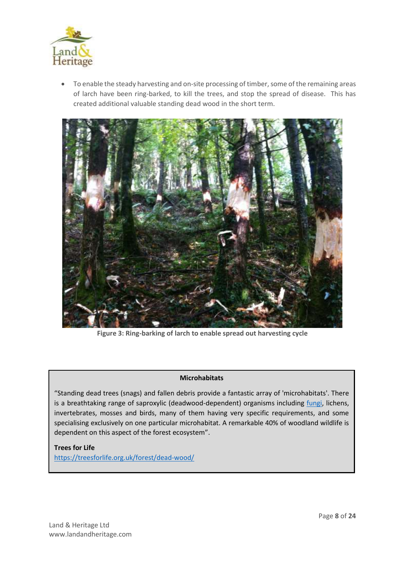

• To enable the steady harvesting and on-site processing of timber, some of the remaining areas of larch have been ring-barked, to kill the trees, and stop the spread of disease. This has created additional valuable standing dead wood in the short term.



**Figure 3: Ring-barking of larch to enable spread out harvesting cycle**

### **Microhabitats**

"Standing dead trees (snags) and fallen debris provide a fantastic array of 'microhabitats'. There is a breathtaking range of saproxylic (deadwood-dependent) organisms including *fungi*, lichens, invertebrates, mosses and birds, many of them having very specific requirements, and some specialising exclusively on one particular microhabitat. A remarkable 40% of woodland wildlife is dependent on this aspect of the forest ecosystem".

### **Trees for Life**

https://treesforlife.org.uk/forest/dead-wood/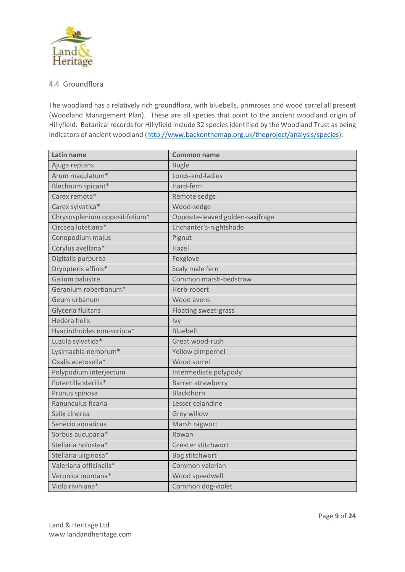

### 4.4 Groundflora

The woodland has a relatively rich groundflora, with bluebells, primroses and wood sorrel all present (Woodland Management Plan). These are all species that point to the ancient woodland origin of Hillyfield. Botanical records for Hillyfield include 32 species identified by the Woodland Trust as being indicators of ancient woodland (http://www.backonthemap.org.uk/theproject/analysis/species):

| Latin name                     | <b>Common name</b>               |
|--------------------------------|----------------------------------|
| Ajuga reptans                  | <b>Bugle</b>                     |
| Arum maculatum*                | Lords-and-ladies                 |
| Blechnum spicant*              | Hard-fern                        |
| Carex remota*                  | Remote sedge                     |
| Carex sylvatica*               | Wood-sedge                       |
| Chrysosplenium oppositifolium* | Opposite-leaved golden-saxifrage |
| Circaea lutetiana*             | Enchanter's-nightshade           |
| Conopodium majus               | Pignut                           |
| Corylus avellana*              | Hazel                            |
| Digitalis purpurea             | Foxglove                         |
| Dryopteris affinis*            | Scaly male fern                  |
| Galium palustre                | Common marsh-bedstraw            |
| Geranium robertianum*          | Herb-robert                      |
| Geum urbanum                   | Wood avens                       |
| Glyceria fluitans              | Floating sweet-grass             |
| Hedera helix                   | Ivy                              |
| Hyacinthoides non-scripta*     | <b>Bluebell</b>                  |
| Luzula sylvatica*              | Great wood-rush                  |
| Lysimachia nemorum*            | Yellow pimpernel                 |
| Oxalis acetosella*             | Wood sorrel                      |
| Polypodium interjectum         | Intermediate polypody            |
| Potentilla sterilis*           | Barren strawberry                |
| Prunus spinosa                 | Blackthorn                       |
| Ranunculus ficaria             | Lesser celandine                 |
| Salix cinerea                  | Grey willow                      |
| Senecio aquaticus              | Marsh ragwort                    |
| Sorbus aucuparia*              | Rowan                            |
| Stellaria holostea*            | Greater stitchwort               |
| Stellaria uliginosa*           | Bog stitchwort                   |
| Valeriana officinalis*         | Common valerian                  |
| Veronica montana*              | Wood speedwell                   |
| Viola riviniana*               | Common dog-violet                |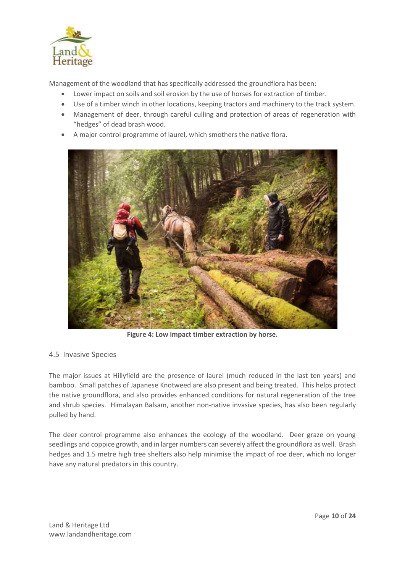

Management of the woodland that has specifically addressed the groundflora has been:

- Lower impact on soils and soil erosion by the use of horses for extraction of timber.
- Use of a timber winch in other locations, keeping tractors and machinery to the track system.
- Management of deer, through careful culling and protection of areas of regeneration with "hedges" of dead brash wood.
- A major control programme of laurel, which smothers the native flora.



**Figure 4: Low impact timber extraction by horse.**

### 4.5 Invasive Species

The major issues at Hillyfield are the presence of laurel (much reduced in the last ten years) and bamboo. Small patches of Japanese Knotweed are also present and being treated. This helps protect the native groundflora, and also provides enhanced conditions for natural regeneration of the tree and shrub species. Himalayan Balsam, another non-native invasive species, has also been regularly pulled by hand.

The deer control programme also enhances the ecology of the woodland. Deer graze on young seedlings and coppice growth, and in larger numbers can severely affect the groundflora as well. Brash hedges and 1.5 metre high tree shelters also help minimise the impact of roe deer, which no longer have any natural predators in this country.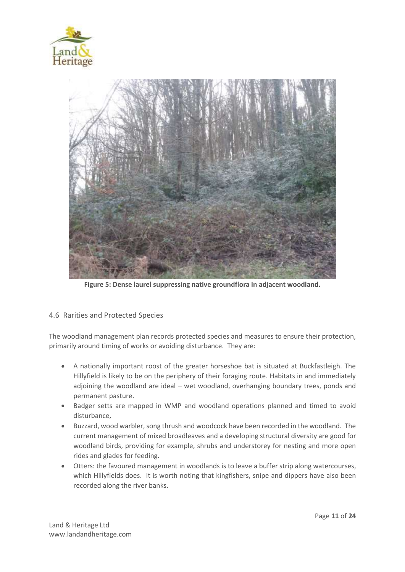



**Figure 5: Dense laurel suppressing native groundflora in adjacent woodland.**

### 4.6 Rarities and Protected Species

The woodland management plan records protected species and measures to ensure their protection, primarily around timing of works or avoiding disturbance. They are:

- A nationally important roost of the greater horseshoe bat is situated at Buckfastleigh. The Hillyfield is likely to be on the periphery of their foraging route. Habitats in and immediately adjoining the woodland are ideal – wet woodland, overhanging boundary trees, ponds and permanent pasture.
- Badger setts are mapped in WMP and woodland operations planned and timed to avoid disturbance,
- Buzzard, wood warbler, song thrush and woodcock have been recorded in the woodland. The current management of mixed broadleaves and a developing structural diversity are good for woodland birds, providing for example, shrubs and understorey for nesting and more open rides and glades for feeding.
- Otters: the favoured management in woodlands is to leave a buffer strip along watercourses, which Hillyfields does. It is worth noting that kingfishers, snipe and dippers have also been recorded along the river banks.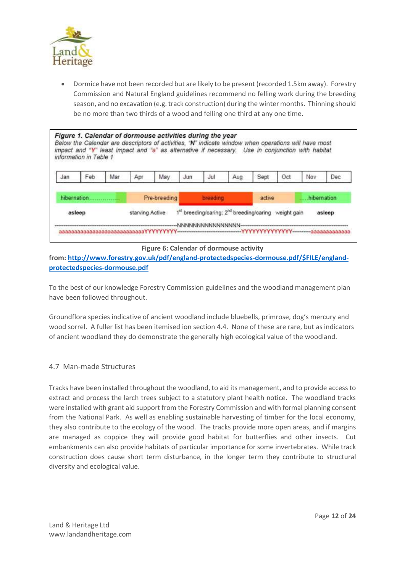

• Dormice have not been recorded but are likely to be present (recorded 1.5km away). Forestry Commission and Natural England guidelines recommend no felling work during the breeding season, and no excavation (e.g. track construction) during the winter months. Thinning should be no more than two thirds of a wood and felling one third at any one time.

|              | information in Table 1 |                 |     | Figure 1. Calendar of dormouse activities during the year<br>impact and "Y" least impact and "a" as alternative if necessary. |     |     | Below the Calendar are descriptors of activities, "N" indicate window when operations will have most |      |             | Use in conjunction with habitat |     |
|--------------|------------------------|-----------------|-----|-------------------------------------------------------------------------------------------------------------------------------|-----|-----|------------------------------------------------------------------------------------------------------|------|-------------|---------------------------------|-----|
| Jan          | Feb                    | Mar             | Apr | May                                                                                                                           | Jun | Jul | Aug                                                                                                  | Sept | Oct         | Nov                             | Dec |
| hibernation. |                        | Pre-breeding    |     |                                                                                                                               |     |     | active                                                                                               |      | hibernation |                                 |     |
| asleep       |                        | starving Active |     | 1 <sup>st</sup> breeding/caring; 2 <sup>nd</sup> breeding/caring weight gain<br>asleep                                        |     |     |                                                                                                      |      |             |                                 |     |

**Figure 6: Calendar of dormouse activity**

**from: http://www.forestry.gov.uk/pdf/england-protectedspecies-dormouse.pdf/\$FILE/englandprotectedspecies-dormouse.pdf**

To the best of our knowledge Forestry Commission guidelines and the woodland management plan have been followed throughout.

Groundflora species indicative of ancient woodland include bluebells, primrose, dog's mercury and wood sorrel. A fuller list has been itemised ion section 4.4. None of these are rare, but as indicators of ancient woodland they do demonstrate the generally high ecological value of the woodland.

### 4.7 Man-made Structures

Tracks have been installed throughout the woodland, to aid its management, and to provide access to extract and process the larch trees subject to a statutory plant health notice. The woodland tracks were installed with grant aid support from the Forestry Commission and with formal planning consent from the National Park. As well as enabling sustainable harvesting of timber for the local economy, they also contribute to the ecology of the wood. The tracks provide more open areas, and if margins are managed as coppice they will provide good habitat for butterflies and other insects. Cut embankments can also provide habitats of particular importance for some invertebrates. While track construction does cause short term disturbance, in the longer term they contribute to structural diversity and ecological value.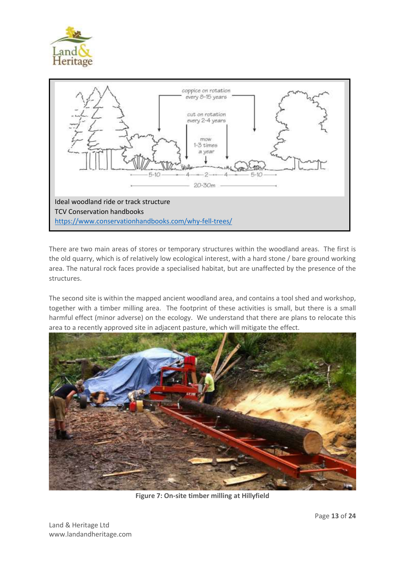



There are two main areas of stores or temporary structures within the woodland areas. The first is the old quarry, which is of relatively low ecological interest, with a hard stone / bare ground working area. The natural rock faces provide a specialised habitat, but are unaffected by the presence of the structures.

The second site is within the mapped ancient woodland area, and contains a tool shed and workshop, together with a timber milling area. The footprint of these activities is small, but there is a small harmful effect (minor adverse) on the ecology. We understand that there are plans to relocate this area to a recently approved site in adjacent pasture, which will mitigate the effect.



**Figure 7: On-site timber milling at Hillyfield**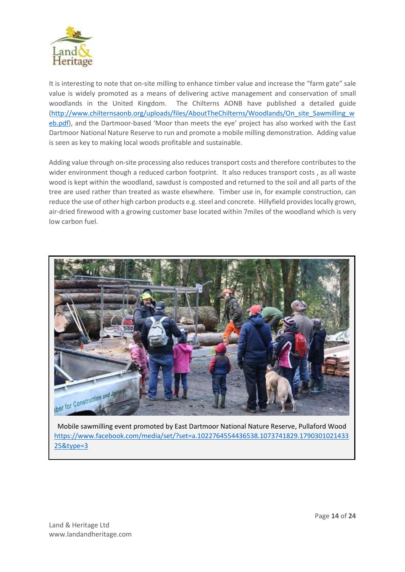

It is interesting to note that on-site milling to enhance timber value and increase the "farm gate" sale value is widely promoted as a means of delivering active management and conservation of small woodlands in the United Kingdom. The Chilterns AONB have published a detailed guide (http://www.chilternsaonb.org/uploads/files/AboutTheChilterns/Woodlands/On\_site\_Sawmilling\_w eb.pdf), and the Dartmoor-based 'Moor than meets the eye' project has also worked with the East Dartmoor National Nature Reserve to run and promote a mobile milling demonstration. Adding value is seen as key to making local woods profitable and sustainable.

Adding value through on-site processing also reduces transport costs and therefore contributes to the wider environment though a reduced carbon footprint. It also reduces transport costs , as all waste wood is kept within the woodland, sawdust is composted and returned to the soil and all parts of the tree are used rather than treated as waste elsewhere. Timber use in, for example construction, can reduce the use of other high carbon products e.g. steel and concrete. Hillyfield provides locally grown, air-dried firewood with a growing customer base located within 7miles of the woodland which is very low carbon fuel.



Mobile sawmilling event promoted by East Dartmoor National Nature Reserve, Pullaford Wood https://www.facebook.com/media/set/?set=a.1022764554436538.1073741829.1790301021433 25&type=3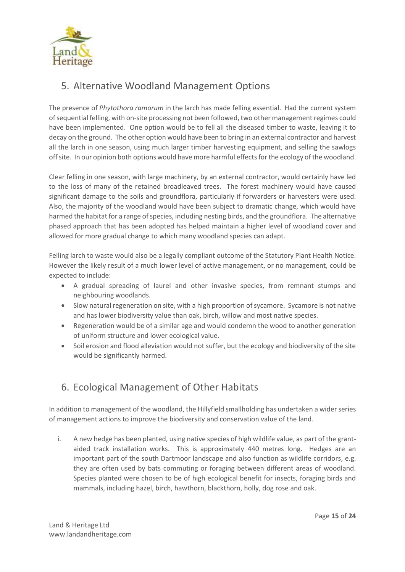

# 5. Alternative Woodland Management Options

The presence of *Phytothora ramorum* in the larch has made felling essential. Had the current system of sequential felling, with on-site processing not been followed, two other management regimes could have been implemented. One option would be to fell all the diseased timber to waste, leaving it to decay on the ground. The other option would have been to bring in an external contractor and harvest all the larch in one season, using much larger timber harvesting equipment, and selling the sawlogs off site. In our opinion both options would have more harmful effects for the ecology of the woodland.

Clear felling in one season, with large machinery, by an external contractor, would certainly have led to the loss of many of the retained broadleaved trees. The forest machinery would have caused significant damage to the soils and groundflora, particularly if forwarders or harvesters were used. Also, the majority of the woodland would have been subject to dramatic change, which would have harmed the habitat for a range of species, including nesting birds, and the groundflora. The alternative phased approach that has been adopted has helped maintain a higher level of woodland cover and allowed for more gradual change to which many woodland species can adapt.

Felling larch to waste would also be a legally compliant outcome of the Statutory Plant Health Notice. However the likely result of a much lower level of active management, or no management, could be expected to include:

- A gradual spreading of laurel and other invasive species, from remnant stumps and neighbouring woodlands.
- Slow natural regeneration on site, with a high proportion of sycamore. Sycamore is not native and has lower biodiversity value than oak, birch, willow and most native species.
- Regeneration would be of a similar age and would condemn the wood to another generation of uniform structure and lower ecological value.
- Soil erosion and flood alleviation would not suffer, but the ecology and biodiversity of the site would be significantly harmed.

# 6. Ecological Management of Other Habitats

In addition to management of the woodland, the Hillyfield smallholding has undertaken a wider series of management actions to improve the biodiversity and conservation value of the land.

i. A new hedge has been planted, using native species of high wildlife value, as part of the grantaided track installation works. This is approximately 440 metres long. Hedges are an important part of the south Dartmoor landscape and also function as wildlife corridors, e.g. they are often used by bats commuting or foraging between different areas of woodland. Species planted were chosen to be of high ecological benefit for insects, foraging birds and mammals, including hazel, birch, hawthorn, blackthorn, holly, dog rose and oak.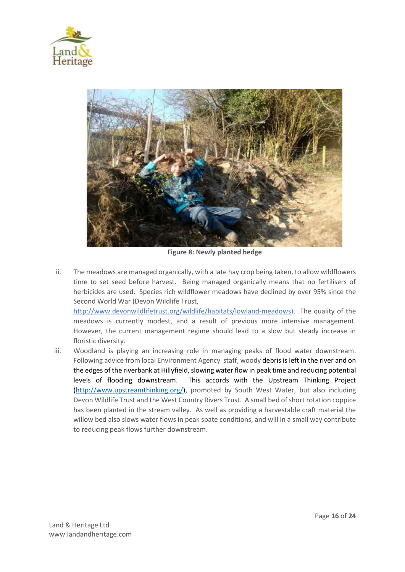



**Figure 8: Newly planted hedge**

ii. The meadows are managed organically, with a late hay crop being taken, to allow wildflowers time to set seed before harvest. Being managed organically means that no fertilisers of herbicides are used. Species rich wildflower meadows have declined by over 95% since the Second World War (Devon Wildlife Trust,

http://www.devonwildlifetrust.org/wildlife/habitats/lowland-meadows). The quality of the meadows is currently modest, and a result of previous more intensive management. However, the current management regime should lead to a slow but steady increase in floristic diversity.

iii. Woodland is playing an increasing role in managing peaks of flood water downstream. Following advice from local Environment Agency staff, woody debris is left in the river and on the edges of the riverbank at Hillyfield, slowing water flow in peak time and reducing potential levels of flooding downstream. This accords with the Upstream Thinking Project (http://www.upstreamthinking.org/), promoted by South West Water, but also including Devon Wildlife Trust and the West Country Rivers Trust. A small bed of short rotation coppice has been planted in the stream valley. As well as providing a harvestable craft material the willow bed also slows water flows in peak spate conditions, and will in a small way contribute to reducing peak flows further downstream.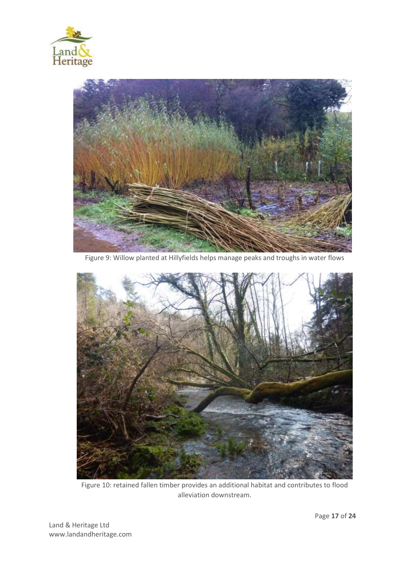



Figure 9: Willow planted at Hillyfields helps manage peaks and troughs in water flows



Figure 10: retained fallen timber provides an additional habitat and contributes to flood alleviation downstream.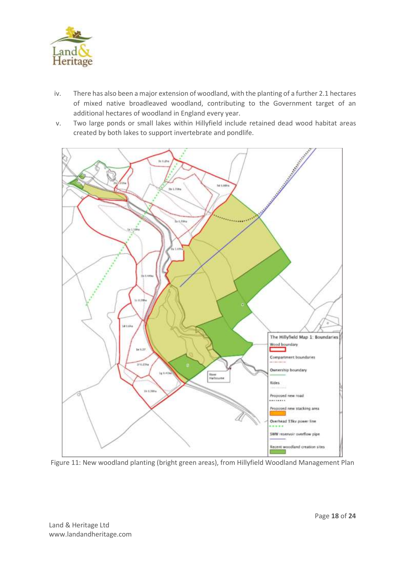

- iv. There has also been a major extension of woodland, with the planting of a further 2.1 hectares of mixed native broadleaved woodland, contributing to the Government target of an additional hectares of woodland in England every year.
- v. Two large ponds or small lakes within Hillyfield include retained dead wood habitat areas created by both lakes to support invertebrate and pondlife.



Figure 11: New woodland planting (bright green areas), from Hillyfield Woodland Management Plan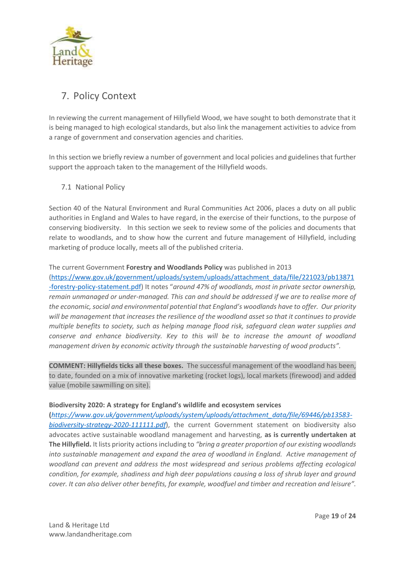

# 7. Policy Context

In reviewing the current management of Hillyfield Wood, we have sought to both demonstrate that it is being managed to high ecological standards, but also link the management activities to advice from a range of government and conservation agencies and charities.

In this section we briefly review a number of government and local policies and guidelines that further support the approach taken to the management of the Hillyfield woods.

7.1 National Policy

Section 40 of the Natural Environment and Rural Communities Act 2006, places a duty on all public authorities in England and Wales to have regard, in the exercise of their functions, to the purpose of conserving biodiversity. In this section we seek to review some of the policies and documents that relate to woodlands, and to show how the current and future management of Hillyfield, including marketing of produce locally, meets all of the published criteria.

The current Government **Forestry and Woodlands Policy** was published in 2013

(https://www.gov.uk/government/uploads/system/uploads/attachment\_data/file/221023/pb13871 -forestry-policy-statement.pdf) It notes "*around 47% of woodlands, most in private sector ownership, remain unmanaged or under-managed. This can and should be addressed if we are to realise more of the economic, social and environmental potential that England's woodlands have to offer. Our priority will be management that increases the resilience of the woodland asset so that it continues to provide multiple benefits to society, such as helping manage flood risk, safeguard clean water supplies and conserve and enhance biodiversity. Key to this will be to increase the amount of woodland management driven by economic activity through the sustainable harvesting of wood products".* 

**COMMENT: Hillyfields ticks all these boxes.** The successful management of the woodland has been, to date, founded on a mix of innovative marketing (rocket logs), local markets (firewood) and added value (mobile sawmilling on site).

### Biodiversity 2020: A strategy for England's wildlife and ecosystem services

**(***https://www.gov.uk/government/uploads/system/uploads/attachment\_data/file/69446/pb13583 biodiversity-strategy-2020-111111.pdf*), the current Government statement on biodiversity also advocates active sustainable woodland management and harvesting, **as is currently undertaken at The Hillyfield.** It lists priority actions including to *"bring a greater proportion of our existing woodlands into sustainable management and expand the area of woodland in England. Active management of woodland can prevent and address the most widespread and serious problems affecting ecological condition, for example, shadiness and high deer populations causing a loss of shrub layer and ground cover. It can also deliver other benefits, for example, woodfuel and timber and recreation and leisure".*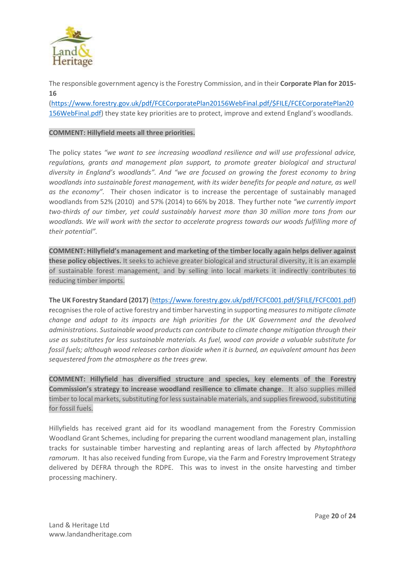

The responsible government agency is the Forestry Commission, and in their **Corporate Plan for 2015- 16**

(https://www.forestry.gov.uk/pdf/FCECorporatePlan20156WebFinal.pdf/\$FILE/FCECorporatePlan20 156WebFinal.pdf) they state key priorities are to protect, improve and extend England's woodlands.

### **COMMENT: Hillyfield meets all three priorities.**

The policy states *"we want to see increasing woodland resilience and will use professional advice, regulations, grants and management plan support, to promote greater biological and structural diversity in England's woodlands". And "we are focused on growing the forest economy to bring woodlands into sustainable forest management, with its wider benefits for people and nature, as well as the economy".* Their chosen indicator is to increase the percentage of sustainably managed woodlands from 52% (2010) and 57% (2014) to 66% by 2018. They further note *"we currently import two-thirds of our timber, yet could sustainably harvest more than 30 million more tons from our woodlands. We will work with the sector to accelerate progress towards our woods fulfilling more of their potential".* 

**COMMENT: Hillyfield's management and marketing of the timber locally again helps deliver against these policy objectives.** It seeks to achieve greater biological and structural diversity, it is an example of sustainable forest management, and by selling into local markets it indirectly contributes to reducing timber imports.

**The UK Forestry Standard (2017)** (https://www.forestry.gov.uk/pdf/FCFC001.pdf/\$FILE/FCFC001.pdf) **r**ecognises the role of active forestry and timber harvesting in supporting *measures to mitigate climate change and adapt to its impacts are high priorities for the UK Government and the devolved administrations. Sustainable wood products can contribute to climate change mitigation through their use as substitutes for less sustainable materials. As fuel, wood can provide a valuable substitute for fossil fuels; although wood releases carbon dioxide when it is burned, an equivalent amount has been sequestered from the atmosphere as the trees grew.* 

**COMMENT: Hillyfield has diversified structure and species, key elements of the Forestry Commission's strategy to increase woodland resilience to climate change**. It also supplies milled timber to local markets, substituting for less sustainable materials, and supplies firewood, substituting for fossil fuels.

Hillyfields has received grant aid for its woodland management from the Forestry Commission Woodland Grant Schemes, including for preparing the current woodland management plan, installing tracks for sustainable timber harvesting and replanting areas of larch affected by *Phytophthora ramorum*. It has also received funding from Europe, via the Farm and Forestry Improvement Strategy delivered by DEFRA through the RDPE. This was to invest in the onsite harvesting and timber processing machinery.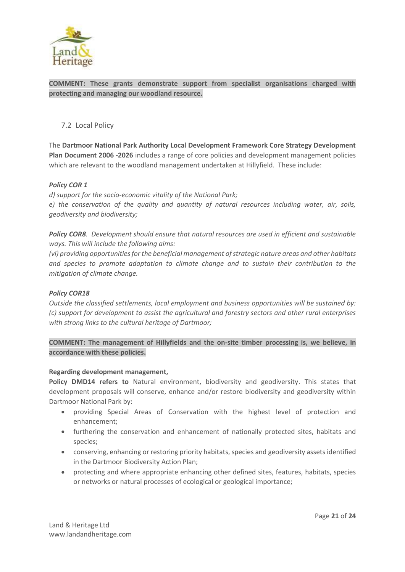

**COMMENT: These grants demonstrate support from specialist organisations charged with protecting and managing our woodland resource.**

### 7.2 Local Policy

The **Dartmoor National Park Authority Local Development Framework Core Strategy Development Plan Document 2006 -2026** includes a range of core policies and development management policies which are relevant to the woodland management undertaken at Hillyfield. These include:

### *Policy COR 1*

*d) support for the socio-economic vitality of the National Park; e) the conservation of the quality and quantity of natural resources including water, air, soils, geodiversity and biodiversity;*

*Policy COR8. Development should ensure that natural resources are used in efficient and sustainable ways. This will include the following aims:* 

*(vi) providing opportunities for the beneficial management of strategic nature areas and other habitats and species to promote adaptation to climate change and to sustain their contribution to the mitigation of climate change.*

### *Policy COR18*

*Outside the classified settlements, local employment and business opportunities will be sustained by: (c) support for development to assist the agricultural and forestry sectors and other rural enterprises with strong links to the cultural heritage of Dartmoor;*

**COMMENT: The management of Hillyfields and the on-site timber processing is, we believe, in accordance with these policies.**

#### **Regarding development management,**

**Policy DMD14 refers to** Natural environment, biodiversity and geodiversity. This states that development proposals will conserve, enhance and/or restore biodiversity and geodiversity within Dartmoor National Park by:

- providing Special Areas of Conservation with the highest level of protection and enhancement;
- furthering the conservation and enhancement of nationally protected sites, habitats and species;
- conserving, enhancing or restoring priority habitats, species and geodiversity assets identified in the Dartmoor Biodiversity Action Plan;
- protecting and where appropriate enhancing other defined sites, features, habitats, species or networks or natural processes of ecological or geological importance;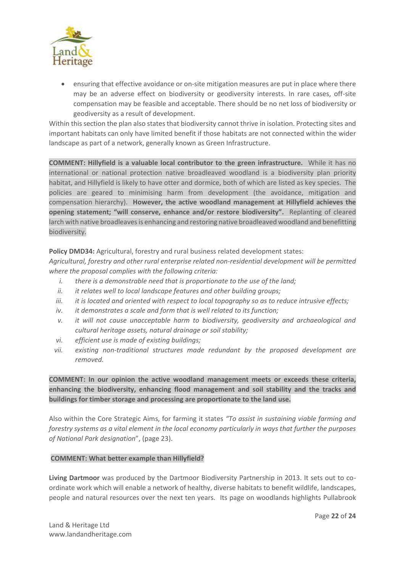

• ensuring that effective avoidance or on-site mitigation measures are put in place where there may be an adverse effect on biodiversity or geodiversity interests. In rare cases, off-site compensation may be feasible and acceptable. There should be no net loss of biodiversity or geodiversity as a result of development.

Within this section the plan also states that biodiversity cannot thrive in isolation. Protecting sites and important habitats can only have limited benefit if those habitats are not connected within the wider landscape as part of a network, generally known as Green Infrastructure.

**COMMENT: Hillyfield is a valuable local contributor to the green infrastructure.** While it has no international or national protection native broadleaved woodland is a biodiversity plan priority habitat, and Hillyfield is likely to have otter and dormice, both of which are listed as key species. The policies are geared to minimising harm from development (the avoidance, mitigation and compensation hierarchy). **However, the active woodland management at Hillyfield achieves the opening statement; "will conserve, enhance and/or restore biodiversity".** Replanting of cleared larch with native broadleaves is enhancing and restoring native broadleaved woodland and benefitting biodiversity.

Policy DMD34: Agricultural, forestry and rural business related development states:

*Agricultural, forestry and other rural enterprise related non-residential development will be permitted where the proposal complies with the following criteria:* 

- *i. there is a demonstrable need that is proportionate to the use of the land;*
- *ii. it relates well to local landscape features and other building groups;*
- *iii. it is located and oriented with respect to local topography so as to reduce intrusive effects;*
- *iv. it demonstrates a scale and form that is well related to its function;*
- *v. it will not cause unacceptable harm to biodiversity, geodiversity and archaeological and cultural heritage assets, natural drainage or soil stability;*
- *vi. efficient use is made of existing buildings;*
- *vii. existing non-traditional structures made redundant by the proposed development are removed.*

**COMMENT: In our opinion the active woodland management meets or exceeds these criteria, enhancing the biodiversity, enhancing flood management and soil stability and the tracks and buildings for timber storage and processing are proportionate to the land use.**

Also within the Core Strategic Aims, for farming it states *"To assist in sustaining viable farming and forestry systems as a vital element in the local economy particularly in ways that further the purposes of National Park designation*", (page 23).

#### **COMMENT: What better example than Hillyfield?**

**Living Dartmoor** was produced by the Dartmoor Biodiversity Partnership in 2013. It sets out to coordinate work which will enable a network of healthy, diverse habitats to benefit wildlife, landscapes, people and natural resources over the next ten years. Its page on woodlands highlights Pullabrook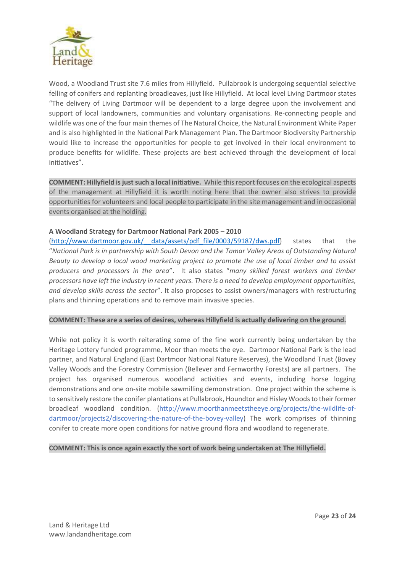

Wood, a Woodland Trust site 7.6 miles from Hillyfield. Pullabrook is undergoing sequential selective felling of conifers and replanting broadleaves, just like Hillyfield. At local level Living Dartmoor states "The delivery of Living Dartmoor will be dependent to a large degree upon the involvement and support of local landowners, communities and voluntary organisations. Re-connecting people and wildlife was one of the four main themes of The Natural Choice, the Natural Environment White Paper and is also highlighted in the National Park Management Plan. The Dartmoor Biodiversity Partnership would like to increase the opportunities for people to get involved in their local environment to produce benefits for wildlife. These projects are best achieved through the development of local initiatives".

**COMMENT: Hillyfield is just such a local initiative.** While this report focuses on the ecological aspects of the management at Hillyfield it is worth noting here that the owner also strives to provide opportunities for volunteers and local people to participate in the site management and in occasional events organised at the holding.

### **A Woodland Strategy for Dartmoor National Park 2005 – 2010**

(http://www.dartmoor.gov.uk/\_\_data/assets/pdf\_file/0003/59187/dws.pdf) states that the "*National Park is in partnership with South Devon and the Tamar Valley Areas of Outstanding Natural Beauty to develop a local wood marketing project to promote the use of local timber and to assist producers and processors in the area*". It also states "*many skilled forest workers and timber processors have left the industry in recent years. There is a need to develop employment opportunities, and develop skills across the sector*". It also proposes to assist owners/managers with restructuring plans and thinning operations and to remove main invasive species.

#### **COMMENT: These are a series of desires, whereas Hillyfield is actually delivering on the ground.**

While not policy it is worth reiterating some of the fine work currently being undertaken by the Heritage Lottery funded programme, Moor than meets the eye. Dartmoor National Park is the lead partner, and Natural England (East Dartmoor National Nature Reserves), the Woodland Trust (Bovey Valley Woods and the Forestry Commission (Bellever and Fernworthy Forests) are all partners. The project has organised numerous woodland activities and events, including horse logging demonstrations and one on-site mobile sawmilling demonstration. One project within the scheme is to sensitively restore the conifer plantations at Pullabrook, Houndtor and Hisley Woods to their former broadleaf woodland condition. (http://www.moorthanmeetstheeye.org/projects/the-wildlife-ofdartmoor/projects2/discovering-the-nature-of-the-bovey-valley) The work comprises of thinning conifer to create more open conditions for native ground flora and woodland to regenerate.

#### **COMMENT: This is once again exactly the sort of work being undertaken at The Hillyfield.**